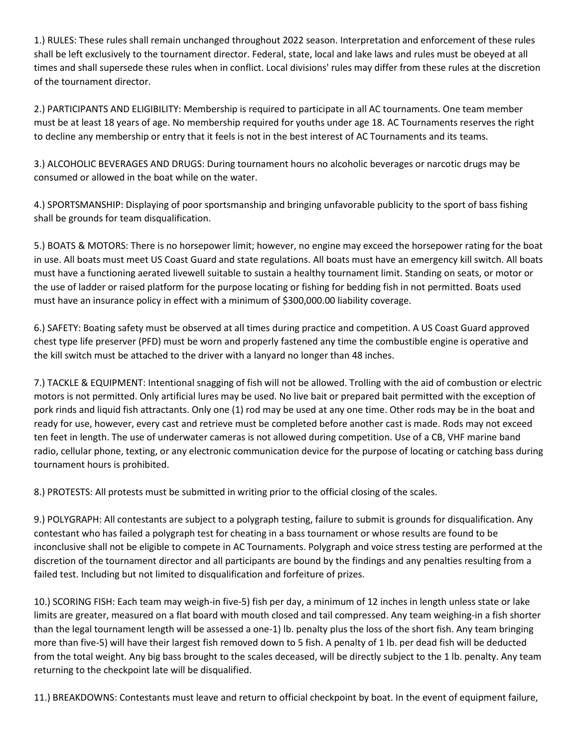1.) RULES: These rules shall remain unchanged throughout 2022 season. Interpretation and enforcement of these rules shall be left exclusively to the tournament director. Federal, state, local and lake laws and rules must be obeyed at all times and shall supersede these rules when in conflict. Local divisions' rules may differ from these rules at the discretion of the tournament director.

2.) PARTICIPANTS AND ELIGIBILITY: Membership is required to participate in all AC tournaments. One team member must be at least 18 years of age. No membership required for youths under age 18. AC Tournaments reserves the right to decline any membership or entry that it feels is not in the best interest of AC Tournaments and its teams.

3.) ALCOHOLIC BEVERAGES AND DRUGS: During tournament hours no alcoholic beverages or narcotic drugs may be consumed or allowed in the boat while on the water.

4.) SPORTSMANSHIP: Displaying of poor sportsmanship and bringing unfavorable publicity to the sport of bass fishing shall be grounds for team disqualification.

5.) BOATS & MOTORS: There is no horsepower limit; however, no engine may exceed the horsepower rating for the boat in use. All boats must meet US Coast Guard and state regulations. All boats must have an emergency kill switch. All boats must have a functioning aerated livewell suitable to sustain a healthy tournament limit. Standing on seats, or motor or the use of ladder or raised platform for the purpose locating or fishing for bedding fish in not permitted. Boats used must have an insurance policy in effect with a minimum of \$300,000.00 liability coverage.

6.) SAFETY: Boating safety must be observed at all times during practice and competition. A US Coast Guard approved chest type life preserver (PFD) must be worn and properly fastened any time the combustible engine is operative and the kill switch must be attached to the driver with a lanyard no longer than 48 inches.

7.) TACKLE & EQUIPMENT: Intentional snagging of fish will not be allowed. Trolling with the aid of combustion or electric motors is not permitted. Only artificial lures may be used. No live bait or prepared bait permitted with the exception of pork rinds and liquid fish attractants. Only one (1) rod may be used at any one time. Other rods may be in the boat and ready for use, however, every cast and retrieve must be completed before another cast is made. Rods may not exceed ten feet in length. The use of underwater cameras is not allowed during competition. Use of a CB, VHF marine band radio, cellular phone, texting, or any electronic communication device for the purpose of locating or catching bass during tournament hours is prohibited.

8.) PROTESTS: All protests must be submitted in writing prior to the official closing of the scales.

9.) POLYGRAPH: All contestants are subject to a polygraph testing, failure to submit is grounds for disqualification. Any contestant who has failed a polygraph test for cheating in a bass tournament or whose results are found to be inconclusive shall not be eligible to compete in AC Tournaments. Polygraph and voice stress testing are performed at the discretion of the tournament director and all participants are bound by the findings and any penalties resulting from a failed test. Including but not limited to disqualification and forfeiture of prizes.

10.) SCORING FISH: Each team may weigh-in five-5) fish per day, a minimum of 12 inches in length unless state or lake limits are greater, measured on a flat board with mouth closed and tail compressed. Any team weighing-in a fish shorter than the legal tournament length will be assessed a one-1) lb. penalty plus the loss of the short fish. Any team bringing more than five-5) will have their largest fish removed down to 5 fish. A penalty of 1 lb. per dead fish will be deducted from the total weight. Any big bass brought to the scales deceased, will be directly subject to the 1 lb. penalty. Any team returning to the checkpoint late will be disqualified.

11.) BREAKDOWNS: Contestants must leave and return to official checkpoint by boat. In the event of equipment failure,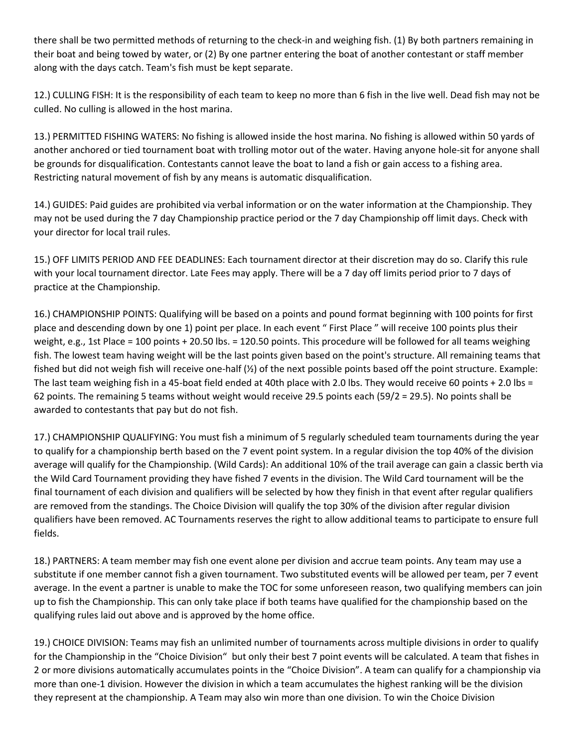there shall be two permitted methods of returning to the check-in and weighing fish. (1) By both partners remaining in their boat and being towed by water, or (2) By one partner entering the boat of another contestant or staff member along with the days catch. Team's fish must be kept separate.

12.) CULLING FISH: It is the responsibility of each team to keep no more than 6 fish in the live well. Dead fish may not be culled. No culling is allowed in the host marina.

13.) PERMITTED FISHING WATERS: No fishing is allowed inside the host marina. No fishing is allowed within 50 yards of another anchored or tied tournament boat with trolling motor out of the water. Having anyone hole-sit for anyone shall be grounds for disqualification. Contestants cannot leave the boat to land a fish or gain access to a fishing area. Restricting natural movement of fish by any means is automatic disqualification.

14.) GUIDES: Paid guides are prohibited via verbal information or on the water information at the Championship. They may not be used during the 7 day Championship practice period or the 7 day Championship off limit days. Check with your director for local trail rules.

15.) OFF LIMITS PERIOD AND FEE DEADLINES: Each tournament director at their discretion may do so. Clarify this rule with your local tournament director. Late Fees may apply. There will be a 7 day off limits period prior to 7 days of practice at the Championship.

16.) CHAMPIONSHIP POINTS: Qualifying will be based on a points and pound format beginning with 100 points for first place and descending down by one 1) point per place. In each event " First Place " will receive 100 points plus their weight, e.g., 1st Place = 100 points + 20.50 lbs. = 120.50 points. This procedure will be followed for all teams weighing fish. The lowest team having weight will be the last points given based on the point's structure. All remaining teams that fished but did not weigh fish will receive one-half (½) of the next possible points based off the point structure. Example: The last team weighing fish in a 45-boat field ended at 40th place with 2.0 lbs. They would receive 60 points + 2.0 lbs = 62 points. The remaining 5 teams without weight would receive 29.5 points each (59/2 = 29.5). No points shall be awarded to contestants that pay but do not fish.

17.) CHAMPIONSHIP QUALIFYING: You must fish a minimum of 5 regularly scheduled team tournaments during the year to qualify for a championship berth based on the 7 event point system. In a regular division the top 40% of the division average will qualify for the Championship. (Wild Cards): An additional 10% of the trail average can gain a classic berth via the Wild Card Tournament providing they have fished 7 events in the division. The Wild Card tournament will be the final tournament of each division and qualifiers will be selected by how they finish in that event after regular qualifiers are removed from the standings. The Choice Division will qualify the top 30% of the division after regular division qualifiers have been removed. AC Tournaments reserves the right to allow additional teams to participate to ensure full fields.

18.) PARTNERS: A team member may fish one event alone per division and accrue team points. Any team may use a substitute if one member cannot fish a given tournament. Two substituted events will be allowed per team, per 7 event average. In the event a partner is unable to make the TOC for some unforeseen reason, two qualifying members can join up to fish the Championship. This can only take place if both teams have qualified for the championship based on the qualifying rules laid out above and is approved by the home office.

19.) CHOICE DIVISION: Teams may fish an unlimited number of tournaments across multiple divisions in order to qualify for the Championship in the "Choice Division" but only their best 7 point events will be calculated. A team that fishes in 2 or more divisions automatically accumulates points in the "Choice Division". A team can qualify for a championship via more than one-1 division. However the division in which a team accumulates the highest ranking will be the division they represent at the championship. A Team may also win more than one division. To win the Choice Division